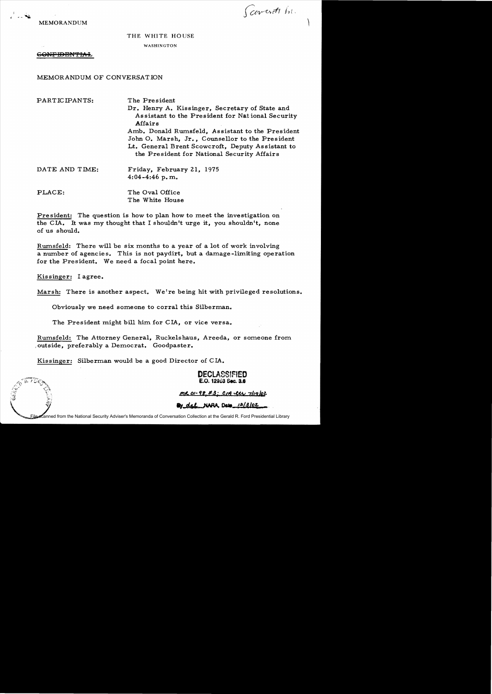MEMORANDUM

Covert his

## THE WHITE HOUSE

WASHINGTON

GONFIDENTIAL

MEMORANDUM OF CONVERSATION

PARTICIPANTS: The President

Dr. Henry A. Kissinger, Secretary of State and Assistant to the President for Nat ional Security Affairs

Amb. Donald Rumsfeld, Assistant to the President John O. Marsh, Jr., Counsellor to the President Lt. General Brent Scowcroft, Deputy Assistant to the President for National Security Affairs

| DATE AND TIME:    | Friday, February 21, 1975<br>$4:04 - 4:46$ p.m. |
|-------------------|-------------------------------------------------|
| $\mathbf{PLACE:}$ | The Oval Office<br>The White House              |

President: The question is how to plan how to meet the investigation on the CIA. It was my thought that I shouldn't urge it, you shouldn't, none of us should.

Rumsfeld: There will be six months to a year of a lot of work involving a number of agencies. This is not paydirt, but a damage-limiting operation for the President. We need a focal point here.

Kissinger: I agree.

Marsh: There is another aspect. We're being hit with privileged resolutions.

Obviously we need someone to corral this Silberman.

The President might bill him for CIA, or vice versa.

Rumsfeld: The Attorney General, Ruckelshaus, Areeda, or someone from , outside, preferably a Democrat. Goodpaster.

Kissinger: Silberman would be a good Director of CIA.

DECLASSIFIED E.O. 12963 Sec. 3.6

<u>mr 01-98, #3; c14 etr 7/19/02</u>

**24 del NAFIA**, Deto 12/3/02

File scanned from the National Security Adviser's Memoranda of Conversation Collection at the Gerald R. Ford Presidential Library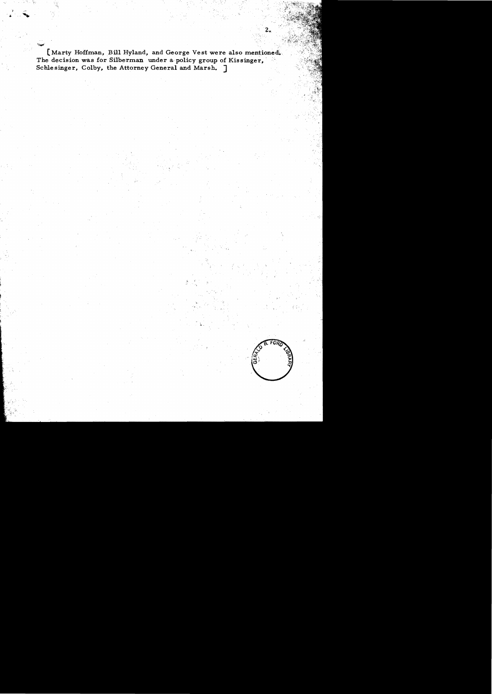[Marty Hoffman, Bill Hyland, and George Vest were also mentioned. The decision was for Silberman under a policy group of Kissinger, Schlesinger, Colby, the Attorney General and Marsh. 7

2.